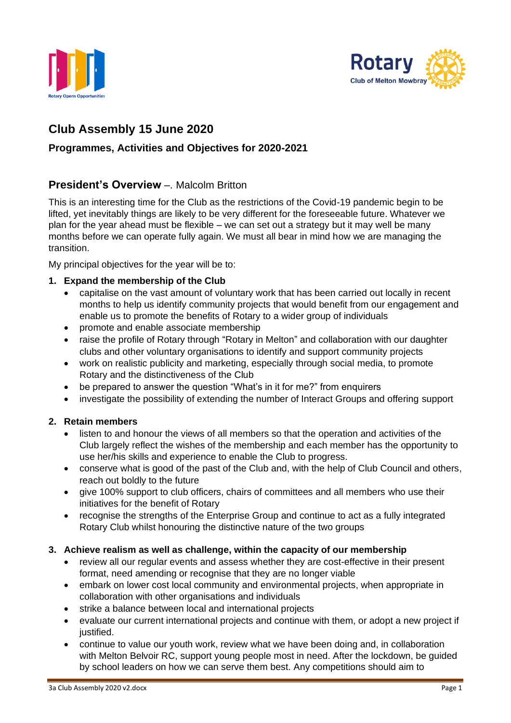



# **Club Assembly 15 June 2020**

# **Programmes, Activities and Objectives for 2020-2021**

# **President's Overview** –. Malcolm Britton

This is an interesting time for the Club as the restrictions of the Covid-19 pandemic begin to be lifted, yet inevitably things are likely to be very different for the foreseeable future. Whatever we plan for the year ahead must be flexible – we can set out a strategy but it may well be many months before we can operate fully again. We must all bear in mind how we are managing the transition.

My principal objectives for the year will be to:

#### **1. Expand the membership of the Club**

- capitalise on the vast amount of voluntary work that has been carried out locally in recent months to help us identify community projects that would benefit from our engagement and enable us to promote the benefits of Rotary to a wider group of individuals
- promote and enable associate membership
- raise the profile of Rotary through "Rotary in Melton" and collaboration with our daughter clubs and other voluntary organisations to identify and support community projects
- work on realistic publicity and marketing, especially through social media, to promote Rotary and the distinctiveness of the Club
- be prepared to answer the question "What's in it for me?" from enquirers
- investigate the possibility of extending the number of Interact Groups and offering support

## **2. Retain members**

- listen to and honour the views of all members so that the operation and activities of the Club largely reflect the wishes of the membership and each member has the opportunity to use her/his skills and experience to enable the Club to progress.
- conserve what is good of the past of the Club and, with the help of Club Council and others, reach out boldly to the future
- give 100% support to club officers, chairs of committees and all members who use their initiatives for the benefit of Rotary
- recognise the strengths of the Enterprise Group and continue to act as a fully integrated Rotary Club whilst honouring the distinctive nature of the two groups

#### **3. Achieve realism as well as challenge, within the capacity of our membership**

- review all our regular events and assess whether they are cost-effective in their present format, need amending or recognise that they are no longer viable
- embark on lower cost local community and environmental projects, when appropriate in collaboration with other organisations and individuals
- strike a balance between local and international projects
- evaluate our current international projects and continue with them, or adopt a new project if justified.
- continue to value our youth work, review what we have been doing and, in collaboration with Melton Belvoir RC, support young people most in need. After the lockdown, be guided by school leaders on how we can serve them best. Any competitions should aim to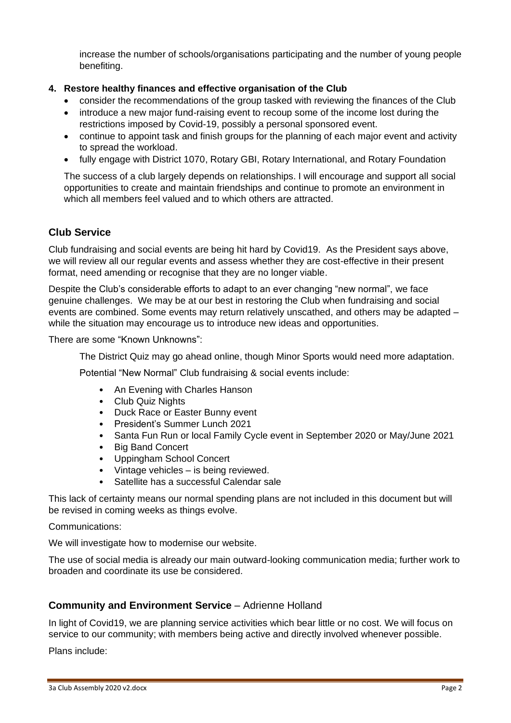increase the number of schools/organisations participating and the number of young people benefiting.

## **4. Restore healthy finances and effective organisation of the Club**

- consider the recommendations of the group tasked with reviewing the finances of the Club
- introduce a new major fund-raising event to recoup some of the income lost during the restrictions imposed by Covid-19, possibly a personal sponsored event.
- continue to appoint task and finish groups for the planning of each major event and activity to spread the workload.
- fully engage with District 1070, Rotary GBI, Rotary International, and Rotary Foundation

The success of a club largely depends on relationships. I will encourage and support all social opportunities to create and maintain friendships and continue to promote an environment in which all members feel valued and to which others are attracted.

# **Club Service**

Club fundraising and social events are being hit hard by Covid19. As the President says above, we will review all our regular events and assess whether they are cost-effective in their present format, need amending or recognise that they are no longer viable.

Despite the Club's considerable efforts to adapt to an ever changing "new normal", we face genuine challenges. We may be at our best in restoring the Club when fundraising and social events are combined. Some events may return relatively unscathed, and others may be adapted – while the situation may encourage us to introduce new ideas and opportunities.

There are some "Known Unknowns":

The District Quiz may go ahead online, though Minor Sports would need more adaptation.

Potential "New Normal" Club fundraising & social events include:

- An Evening with Charles Hanson
- Club Quiz Nights
- Duck Race or Easter Bunny event
- President's Summer Lunch 2021
- Santa Fun Run or local Family Cycle event in September 2020 or May/June 2021
- **Big Band Concert**
- Uppingham School Concert
- Vintage vehicles is being reviewed.
- Satellite has a successful Calendar sale

This lack of certainty means our normal spending plans are not included in this document but will be revised in coming weeks as things evolve.

Communications:

We will investigate how to modernise our website.

The use of social media is already our main outward-looking communication media; further work to broaden and coordinate its use be considered.

## **Community and Environment Service** – Adrienne Holland

In light of Covid19, we are planning service activities which bear little or no cost. We will focus on service to our community; with members being active and directly involved whenever possible.

Plans include: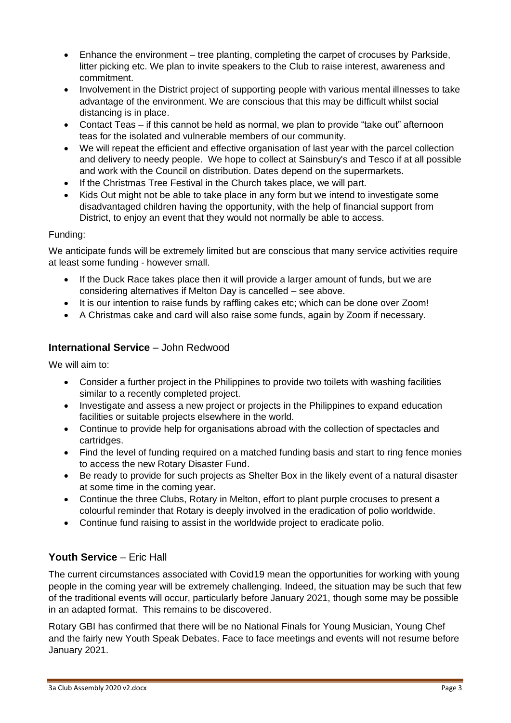- Enhance the environment tree planting, completing the carpet of crocuses by Parkside, litter picking etc. We plan to invite speakers to the Club to raise interest, awareness and commitment.
- Involvement in the District project of supporting people with various mental illnesses to take advantage of the environment. We are conscious that this may be difficult whilst social distancing is in place.
- Contact Teas if this cannot be held as normal, we plan to provide "take out" afternoon teas for the isolated and vulnerable members of our community.
- We will repeat the efficient and effective organisation of last year with the parcel collection and delivery to needy people. We hope to collect at Sainsbury's and Tesco if at all possible and work with the Council on distribution. Dates depend on the supermarkets.
- If the Christmas Tree Festival in the Church takes place, we will part.
- Kids Out might not be able to take place in any form but we intend to investigate some disadvantaged children having the opportunity, with the help of financial support from District, to enjoy an event that they would not normally be able to access.

#### Funding:

We anticipate funds will be extremely limited but are conscious that many service activities require at least some funding - however small.

- If the Duck Race takes place then it will provide a larger amount of funds, but we are considering alternatives if Melton Day is cancelled – see above.
- It is our intention to raise funds by raffling cakes etc; which can be done over Zoom!
- A Christmas cake and card will also raise some funds, again by Zoom if necessary.

## **International Service** – John Redwood

We will aim to:

- Consider a further project in the Philippines to provide two toilets with washing facilities similar to a recently completed project.
- Investigate and assess a new project or projects in the Philippines to expand education facilities or suitable projects elsewhere in the world.
- Continue to provide help for organisations abroad with the collection of spectacles and cartridges.
- Find the level of funding required on a matched funding basis and start to ring fence monies to access the new Rotary Disaster Fund.
- Be ready to provide for such projects as Shelter Box in the likely event of a natural disaster at some time in the coming year.
- Continue the three Clubs, Rotary in Melton, effort to plant purple crocuses to present a colourful reminder that Rotary is deeply involved in the eradication of polio worldwide.
- Continue fund raising to assist in the worldwide project to eradicate polio.

# **Youth Service** – Eric Hall

The current circumstances associated with Covid19 mean the opportunities for working with young people in the coming year will be extremely challenging. Indeed, the situation may be such that few of the traditional events will occur, particularly before January 2021, though some may be possible in an adapted format. This remains to be discovered.

Rotary GBI has confirmed that there will be no National Finals for Young Musician, Young Chef and the fairly new Youth Speak Debates. Face to face meetings and events will not resume before January 2021.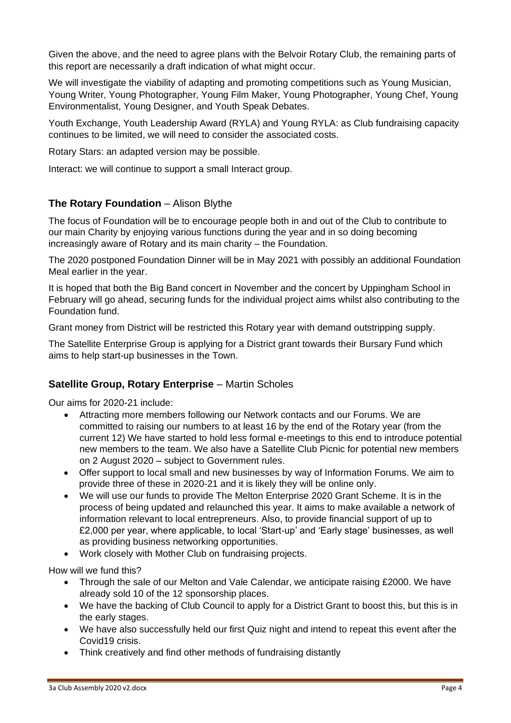Given the above, and the need to agree plans with the Belvoir Rotary Club, the remaining parts of this report are necessarily a draft indication of what might occur.

We will investigate the viability of adapting and promoting competitions such as Young Musician, Young Writer, Young Photographer, Young Film Maker, Young Photographer, Young Chef, Young Environmentalist, Young Designer, and Youth Speak Debates.

Youth Exchange, Youth Leadership Award (RYLA) and Young RYLA: as Club fundraising capacity continues to be limited, we will need to consider the associated costs.

Rotary Stars: an adapted version may be possible.

Interact: we will continue to support a small Interact group.

## **The Rotary Foundation** – Alison Blythe

The focus of Foundation will be to encourage people both in and out of the Club to contribute to our main Charity by enjoying various functions during the year and in so doing becoming increasingly aware of Rotary and its main charity – the Foundation.

The 2020 postponed Foundation Dinner will be in May 2021 with possibly an additional Foundation Meal earlier in the year.

It is hoped that both the Big Band concert in November and the concert by Uppingham School in February will go ahead, securing funds for the individual project aims whilst also contributing to the Foundation fund.

Grant money from District will be restricted this Rotary year with demand outstripping supply.

The Satellite Enterprise Group is applying for a District grant towards their Bursary Fund which aims to help start-up businesses in the Town.

# **Satellite Group, Rotary Enterprise** – Martin Scholes

Our aims for 2020-21 include:

- Attracting more members following our Network contacts and our Forums. We are committed to raising our numbers to at least 16 by the end of the Rotary year (from the current 12) We have started to hold less formal e-meetings to this end to introduce potential new members to the team. We also have a Satellite Club Picnic for potential new members on 2 August 2020 – subject to Government rules.
- Offer support to local small and new businesses by way of Information Forums. We aim to provide three of these in 2020-21 and it is likely they will be online only.
- We will use our funds to provide The Melton Enterprise 2020 Grant Scheme. It is in the process of being updated and relaunched this year. It aims to make available a network of information relevant to local entrepreneurs. Also, to provide financial support of up to £2,000 per year, where applicable, to local 'Start-up' and 'Early stage' businesses, as well as providing business networking opportunities.
- Work closely with Mother Club on fundraising projects.

How will we fund this?

- Through the sale of our Melton and Vale Calendar, we anticipate raising £2000. We have already sold 10 of the 12 sponsorship places.
- We have the backing of Club Council to apply for a District Grant to boost this, but this is in the early stages.
- We have also successfully held our first Quiz night and intend to repeat this event after the Covid19 crisis.
- Think creatively and find other methods of fundraising distantly